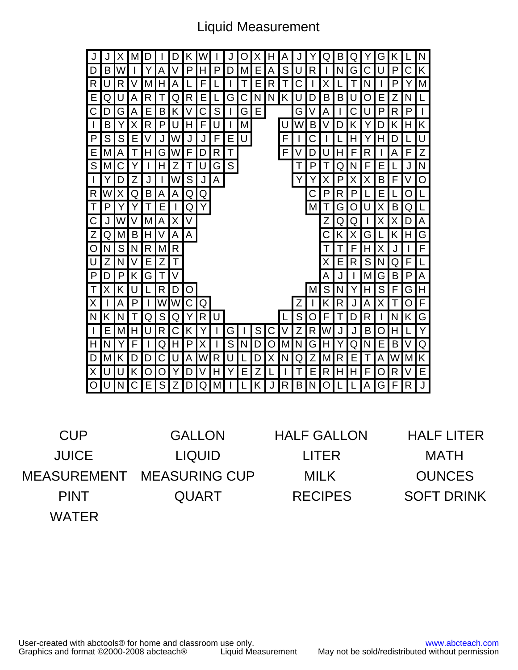## Liquid Measurement

| N<br>Н<br>А<br>B<br>G<br>J<br>Х<br>D<br>Κ<br>Q<br>κ<br>M<br>Ő<br>Q<br>Κ<br>S<br>D<br>W<br>P<br>N<br>G<br>P<br>С<br>B<br>A<br>P<br>U<br>R<br>Y<br>V<br>D<br>M<br>Ε<br>Α<br>U<br>н<br>R<br>$\mathsf{R}$<br>A<br>R<br>N<br>Ρ<br>U<br>М<br>F<br>Е<br>С<br>Χ<br>$\mathsf T$<br>Y<br>E<br>N<br>N<br>Κ<br>L<br>U<br>R<br>R<br>Е<br>С<br>U<br>B<br>Β<br>U<br>Е<br>N<br>Q<br>А<br>G<br>O<br>7<br>Q<br>D<br>C<br>S<br>G<br>Е<br>P<br>P<br>$\mathsf{I}$<br>Β<br>С<br>G<br>A<br>R<br>Α<br>Е<br>G<br>С<br>U<br>D<br>Κ<br>V<br>Κ<br>M<br>U<br>R<br>W<br>$\overline{\phantom{a}}$<br>Β<br>Y<br>P<br>F<br>B<br>Κ<br>D<br>н<br>Χ<br>U<br>H<br>Κ<br>D<br>Y<br>$\mathsf{P}$<br>${\mathsf S}$<br>S<br>Е<br>U<br>F<br>U<br>V<br>W<br>F<br>С<br>E<br>J<br>H<br>Η<br>J<br>Y<br>D<br>Z<br>Ε<br>A<br>Η<br>R<br>F<br>M<br>Τ<br>W<br>F<br>F<br>U<br>H<br>R<br>Α<br>F<br>G<br>Т<br>D<br>D<br>$\mathsf{S}$<br>S<br>${\sf N}$<br>С<br>N<br>M<br>Z<br>G<br>J<br>Н<br>U<br>P<br>F<br>Е<br>I<br>Т<br>Τ<br>Y<br>Q<br>S<br>O<br>$\mathsf{I}$<br>A<br>Z<br>W<br>Χ<br>P<br>X<br>Β<br>V<br>Υ<br>D<br>J<br>J<br>F<br>Χ<br>R <sub>1</sub><br>W<br>Q<br>В<br>А<br>С<br>P<br>R<br>P<br>O<br>X<br>Α<br>Q<br>Q<br>Ε<br>L<br>Т<br>L<br>P<br>Υ<br>M<br>Β<br>Τ<br>E<br>Q<br>Χ<br>Q<br>O<br>G<br>C<br>W<br>Χ<br>V<br>Z<br>Α<br>М<br>А<br>J<br>D<br>Q<br>Q<br>х<br>х<br>G<br>Ζ<br>A<br>Β<br>Α<br>M<br>Н<br>H<br>Q<br>K<br>Κ<br>Х<br>G<br>O<br>$\mathsf{S}$<br>F<br>R<br>R<br>N<br>N<br>M<br>F<br>н<br>$\mathsf{l}$<br>Х<br>$\mathbf{I}$<br>U<br>L<br>Z<br>N<br>Z<br>Χ<br>R<br>S<br>N<br>E<br>Τ<br>Ε<br>Q<br>F<br>P<br>V<br>A<br>P<br>G<br>Α<br>M<br>G<br>B<br>P<br>D<br>Κ<br>Τ<br>J<br>S<br>S<br>N<br>G<br>H<br>Т<br>R<br>Κ<br>D<br>O<br>M<br>Y<br>H<br>F<br>х<br>F<br>X<br>W<br>Κ<br>R<br>Α<br>Ρ<br>T<br>W<br>С<br>Ζ<br>Α<br>X<br>O<br>Q<br>J<br>Т<br>G<br>S<br>N<br>U<br>S<br>N<br>Τ<br>Q<br>O<br>F<br>D<br>R<br>N<br>Κ<br>Κ<br>Q<br>R<br>T<br>$\mathsf{l}$<br>Y<br>Y<br>W<br>O<br>$\overline{\phantom{a}}$<br>M<br>Н<br>U<br>R<br>С<br>S<br>Ζ<br>R<br>B<br>Ε<br>Κ<br>G<br>С<br>J<br>J<br>Н<br>Y<br>V<br>Н<br>S<br>Q<br>Υ<br>N<br>V<br>Ν<br>I<br>Ρ<br>X<br>M<br>G<br>Н<br>Q<br>N<br>Ε<br>B<br>F<br>Q<br>Н<br>N<br>D<br>O<br>Y<br>Κ<br>D<br>С<br>A<br>R<br>Ν<br>Z<br>R<br>А<br>W<br>M<br>K<br>U<br>W<br>Χ<br>Q<br>M<br>M<br>D<br>U<br>D<br>Ε<br>T<br>D<br>E<br>R<br>Χ<br>U<br>Ζ<br>Τ<br>Ε<br>H<br>O<br>U<br>Κ<br>O<br>Ο<br>D<br>V<br>Н<br>Ε<br>H<br>F<br>R<br>V<br>Y<br>$\mathsf J$<br>R<br>$B\vert N \vert$<br>O<br>N<br>С<br>S<br>Ζ<br>M<br>K  <br>O<br>A<br>G<br>R<br>U<br>E  <br>$Q \mid$<br>J<br>F<br>D |  |  |  |  |  |  |  |  |  |  |  |  |   |
|--------------------------------------------------------------------------------------------------------------------------------------------------------------------------------------------------------------------------------------------------------------------------------------------------------------------------------------------------------------------------------------------------------------------------------------------------------------------------------------------------------------------------------------------------------------------------------------------------------------------------------------------------------------------------------------------------------------------------------------------------------------------------------------------------------------------------------------------------------------------------------------------------------------------------------------------------------------------------------------------------------------------------------------------------------------------------------------------------------------------------------------------------------------------------------------------------------------------------------------------------------------------------------------------------------------------------------------------------------------------------------------------------------------------------------------------------------------------------------------------------------------------------------------------------------------------------------------------------------------------------------------------------------------------------------------------------------------------------------------------------------------------------------------------------------------------------------------------------------------------------------------------------------------------------------------------------------------------------------------------------------------------------------------------------------------------------------------------------------------------------------------------------------------------------------------------------------------------------------------------------------------------------------------------------------------------------------------------------------------------------------------------------------------------------------------------------------------------------------------------------------------------------------------------------------------|--|--|--|--|--|--|--|--|--|--|--|--|---|
|                                                                                                                                                                                                                                                                                                                                                                                                                                                                                                                                                                                                                                                                                                                                                                                                                                                                                                                                                                                                                                                                                                                                                                                                                                                                                                                                                                                                                                                                                                                                                                                                                                                                                                                                                                                                                                                                                                                                                                                                                                                                                                                                                                                                                                                                                                                                                                                                                                                                                                                                                              |  |  |  |  |  |  |  |  |  |  |  |  |   |
|                                                                                                                                                                                                                                                                                                                                                                                                                                                                                                                                                                                                                                                                                                                                                                                                                                                                                                                                                                                                                                                                                                                                                                                                                                                                                                                                                                                                                                                                                                                                                                                                                                                                                                                                                                                                                                                                                                                                                                                                                                                                                                                                                                                                                                                                                                                                                                                                                                                                                                                                                              |  |  |  |  |  |  |  |  |  |  |  |  |   |
|                                                                                                                                                                                                                                                                                                                                                                                                                                                                                                                                                                                                                                                                                                                                                                                                                                                                                                                                                                                                                                                                                                                                                                                                                                                                                                                                                                                                                                                                                                                                                                                                                                                                                                                                                                                                                                                                                                                                                                                                                                                                                                                                                                                                                                                                                                                                                                                                                                                                                                                                                              |  |  |  |  |  |  |  |  |  |  |  |  | M |
|                                                                                                                                                                                                                                                                                                                                                                                                                                                                                                                                                                                                                                                                                                                                                                                                                                                                                                                                                                                                                                                                                                                                                                                                                                                                                                                                                                                                                                                                                                                                                                                                                                                                                                                                                                                                                                                                                                                                                                                                                                                                                                                                                                                                                                                                                                                                                                                                                                                                                                                                                              |  |  |  |  |  |  |  |  |  |  |  |  |   |
|                                                                                                                                                                                                                                                                                                                                                                                                                                                                                                                                                                                                                                                                                                                                                                                                                                                                                                                                                                                                                                                                                                                                                                                                                                                                                                                                                                                                                                                                                                                                                                                                                                                                                                                                                                                                                                                                                                                                                                                                                                                                                                                                                                                                                                                                                                                                                                                                                                                                                                                                                              |  |  |  |  |  |  |  |  |  |  |  |  |   |
|                                                                                                                                                                                                                                                                                                                                                                                                                                                                                                                                                                                                                                                                                                                                                                                                                                                                                                                                                                                                                                                                                                                                                                                                                                                                                                                                                                                                                                                                                                                                                                                                                                                                                                                                                                                                                                                                                                                                                                                                                                                                                                                                                                                                                                                                                                                                                                                                                                                                                                                                                              |  |  |  |  |  |  |  |  |  |  |  |  |   |
|                                                                                                                                                                                                                                                                                                                                                                                                                                                                                                                                                                                                                                                                                                                                                                                                                                                                                                                                                                                                                                                                                                                                                                                                                                                                                                                                                                                                                                                                                                                                                                                                                                                                                                                                                                                                                                                                                                                                                                                                                                                                                                                                                                                                                                                                                                                                                                                                                                                                                                                                                              |  |  |  |  |  |  |  |  |  |  |  |  |   |
|                                                                                                                                                                                                                                                                                                                                                                                                                                                                                                                                                                                                                                                                                                                                                                                                                                                                                                                                                                                                                                                                                                                                                                                                                                                                                                                                                                                                                                                                                                                                                                                                                                                                                                                                                                                                                                                                                                                                                                                                                                                                                                                                                                                                                                                                                                                                                                                                                                                                                                                                                              |  |  |  |  |  |  |  |  |  |  |  |  |   |
|                                                                                                                                                                                                                                                                                                                                                                                                                                                                                                                                                                                                                                                                                                                                                                                                                                                                                                                                                                                                                                                                                                                                                                                                                                                                                                                                                                                                                                                                                                                                                                                                                                                                                                                                                                                                                                                                                                                                                                                                                                                                                                                                                                                                                                                                                                                                                                                                                                                                                                                                                              |  |  |  |  |  |  |  |  |  |  |  |  |   |
|                                                                                                                                                                                                                                                                                                                                                                                                                                                                                                                                                                                                                                                                                                                                                                                                                                                                                                                                                                                                                                                                                                                                                                                                                                                                                                                                                                                                                                                                                                                                                                                                                                                                                                                                                                                                                                                                                                                                                                                                                                                                                                                                                                                                                                                                                                                                                                                                                                                                                                                                                              |  |  |  |  |  |  |  |  |  |  |  |  |   |
|                                                                                                                                                                                                                                                                                                                                                                                                                                                                                                                                                                                                                                                                                                                                                                                                                                                                                                                                                                                                                                                                                                                                                                                                                                                                                                                                                                                                                                                                                                                                                                                                                                                                                                                                                                                                                                                                                                                                                                                                                                                                                                                                                                                                                                                                                                                                                                                                                                                                                                                                                              |  |  |  |  |  |  |  |  |  |  |  |  |   |
|                                                                                                                                                                                                                                                                                                                                                                                                                                                                                                                                                                                                                                                                                                                                                                                                                                                                                                                                                                                                                                                                                                                                                                                                                                                                                                                                                                                                                                                                                                                                                                                                                                                                                                                                                                                                                                                                                                                                                                                                                                                                                                                                                                                                                                                                                                                                                                                                                                                                                                                                                              |  |  |  |  |  |  |  |  |  |  |  |  |   |
|                                                                                                                                                                                                                                                                                                                                                                                                                                                                                                                                                                                                                                                                                                                                                                                                                                                                                                                                                                                                                                                                                                                                                                                                                                                                                                                                                                                                                                                                                                                                                                                                                                                                                                                                                                                                                                                                                                                                                                                                                                                                                                                                                                                                                                                                                                                                                                                                                                                                                                                                                              |  |  |  |  |  |  |  |  |  |  |  |  |   |
|                                                                                                                                                                                                                                                                                                                                                                                                                                                                                                                                                                                                                                                                                                                                                                                                                                                                                                                                                                                                                                                                                                                                                                                                                                                                                                                                                                                                                                                                                                                                                                                                                                                                                                                                                                                                                                                                                                                                                                                                                                                                                                                                                                                                                                                                                                                                                                                                                                                                                                                                                              |  |  |  |  |  |  |  |  |  |  |  |  |   |
|                                                                                                                                                                                                                                                                                                                                                                                                                                                                                                                                                                                                                                                                                                                                                                                                                                                                                                                                                                                                                                                                                                                                                                                                                                                                                                                                                                                                                                                                                                                                                                                                                                                                                                                                                                                                                                                                                                                                                                                                                                                                                                                                                                                                                                                                                                                                                                                                                                                                                                                                                              |  |  |  |  |  |  |  |  |  |  |  |  |   |
|                                                                                                                                                                                                                                                                                                                                                                                                                                                                                                                                                                                                                                                                                                                                                                                                                                                                                                                                                                                                                                                                                                                                                                                                                                                                                                                                                                                                                                                                                                                                                                                                                                                                                                                                                                                                                                                                                                                                                                                                                                                                                                                                                                                                                                                                                                                                                                                                                                                                                                                                                              |  |  |  |  |  |  |  |  |  |  |  |  |   |
|                                                                                                                                                                                                                                                                                                                                                                                                                                                                                                                                                                                                                                                                                                                                                                                                                                                                                                                                                                                                                                                                                                                                                                                                                                                                                                                                                                                                                                                                                                                                                                                                                                                                                                                                                                                                                                                                                                                                                                                                                                                                                                                                                                                                                                                                                                                                                                                                                                                                                                                                                              |  |  |  |  |  |  |  |  |  |  |  |  |   |
|                                                                                                                                                                                                                                                                                                                                                                                                                                                                                                                                                                                                                                                                                                                                                                                                                                                                                                                                                                                                                                                                                                                                                                                                                                                                                                                                                                                                                                                                                                                                                                                                                                                                                                                                                                                                                                                                                                                                                                                                                                                                                                                                                                                                                                                                                                                                                                                                                                                                                                                                                              |  |  |  |  |  |  |  |  |  |  |  |  |   |
|                                                                                                                                                                                                                                                                                                                                                                                                                                                                                                                                                                                                                                                                                                                                                                                                                                                                                                                                                                                                                                                                                                                                                                                                                                                                                                                                                                                                                                                                                                                                                                                                                                                                                                                                                                                                                                                                                                                                                                                                                                                                                                                                                                                                                                                                                                                                                                                                                                                                                                                                                              |  |  |  |  |  |  |  |  |  |  |  |  |   |
|                                                                                                                                                                                                                                                                                                                                                                                                                                                                                                                                                                                                                                                                                                                                                                                                                                                                                                                                                                                                                                                                                                                                                                                                                                                                                                                                                                                                                                                                                                                                                                                                                                                                                                                                                                                                                                                                                                                                                                                                                                                                                                                                                                                                                                                                                                                                                                                                                                                                                                                                                              |  |  |  |  |  |  |  |  |  |  |  |  |   |
|                                                                                                                                                                                                                                                                                                                                                                                                                                                                                                                                                                                                                                                                                                                                                                                                                                                                                                                                                                                                                                                                                                                                                                                                                                                                                                                                                                                                                                                                                                                                                                                                                                                                                                                                                                                                                                                                                                                                                                                                                                                                                                                                                                                                                                                                                                                                                                                                                                                                                                                                                              |  |  |  |  |  |  |  |  |  |  |  |  |   |
|                                                                                                                                                                                                                                                                                                                                                                                                                                                                                                                                                                                                                                                                                                                                                                                                                                                                                                                                                                                                                                                                                                                                                                                                                                                                                                                                                                                                                                                                                                                                                                                                                                                                                                                                                                                                                                                                                                                                                                                                                                                                                                                                                                                                                                                                                                                                                                                                                                                                                                                                                              |  |  |  |  |  |  |  |  |  |  |  |  |   |
|                                                                                                                                                                                                                                                                                                                                                                                                                                                                                                                                                                                                                                                                                                                                                                                                                                                                                                                                                                                                                                                                                                                                                                                                                                                                                                                                                                                                                                                                                                                                                                                                                                                                                                                                                                                                                                                                                                                                                                                                                                                                                                                                                                                                                                                                                                                                                                                                                                                                                                                                                              |  |  |  |  |  |  |  |  |  |  |  |  |   |
|                                                                                                                                                                                                                                                                                                                                                                                                                                                                                                                                                                                                                                                                                                                                                                                                                                                                                                                                                                                                                                                                                                                                                                                                                                                                                                                                                                                                                                                                                                                                                                                                                                                                                                                                                                                                                                                                                                                                                                                                                                                                                                                                                                                                                                                                                                                                                                                                                                                                                                                                                              |  |  |  |  |  |  |  |  |  |  |  |  |   |
|                                                                                                                                                                                                                                                                                                                                                                                                                                                                                                                                                                                                                                                                                                                                                                                                                                                                                                                                                                                                                                                                                                                                                                                                                                                                                                                                                                                                                                                                                                                                                                                                                                                                                                                                                                                                                                                                                                                                                                                                                                                                                                                                                                                                                                                                                                                                                                                                                                                                                                                                                              |  |  |  |  |  |  |  |  |  |  |  |  |   |

| <b>CUP</b>   | <b>GALLON</b>        | <b>HALF GALLON</b> | <b>HALF LITER</b> |
|--------------|----------------------|--------------------|-------------------|
| <b>JUICE</b> | <b>LIQUID</b>        | <b>LITER</b>       | <b>MATH</b>       |
| MEASUREMENT  | <b>MEASURING CUP</b> | <b>MILK</b>        | <b>OUNCES</b>     |
| <b>PINT</b>  | <b>QUART</b>         | <b>RECIPES</b>     | <b>SOFT DRINK</b> |
| <b>WATER</b> |                      |                    |                   |